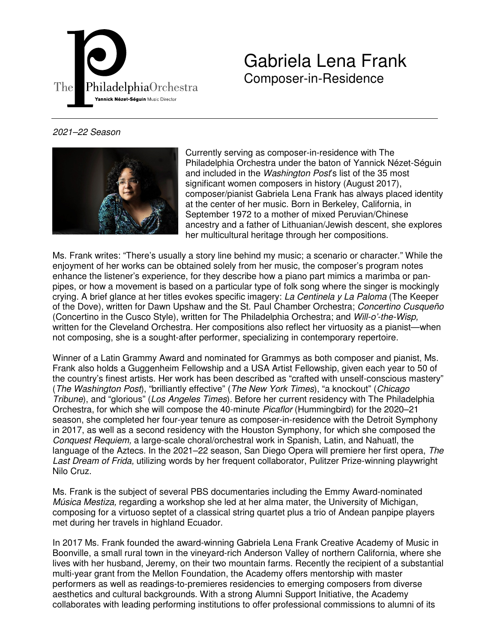

Gabriela Lena Frank Composer-in-Residence

## 2021–22 Season



Currently serving as composer-in-residence with The Philadelphia Orchestra under the baton of Yannick Nézet-Séguin and included in the *Washington Post's* list of the 35 most significant women composers in history (August 2017), composer/pianist Gabriela Lena Frank has always placed identity at the center of her music. Born in Berkeley, California, in September 1972 to a mother of mixed Peruvian/Chinese ancestry and a father of Lithuanian/Jewish descent, she explores her multicultural heritage through her compositions.

Ms. Frank writes: "There's usually a story line behind my music; a scenario or character." While the enjoyment of her works can be obtained solely from her music, the composer's program notes enhance the listener's experience, for they describe how a piano part mimics a marimba or panpipes, or how a movement is based on a particular type of folk song where the singer is mockingly crying. A brief glance at her titles evokes specific imagery: La Centinela y La Paloma (The Keeper of the Dove), written for Dawn Upshaw and the St. Paul Chamber Orchestra; Concertino Cusqueño (Concertino in the Cusco Style), written for The Philadelphia Orchestra; and Will-o'-the-Wisp, written for the Cleveland Orchestra. Her compositions also reflect her virtuosity as a pianist—when not composing, she is a sought-after performer, specializing in contemporary repertoire.

Winner of a Latin Grammy Award and nominated for Grammys as both composer and pianist, Ms. Frank also holds a Guggenheim Fellowship and a USA Artist Fellowship, given each year to 50 of the country's finest artists. Her work has been described as "crafted with unself-conscious mastery" (The Washington Post), "brilliantly effective" (The New York Times), "a knockout" (Chicago Tribune), and "glorious" (Los Angeles Times). Before her current residency with The Philadelphia Orchestra, for which she will compose the 40-minute *Picaflor* (Hummingbird) for the 2020–21 season, she completed her four-year tenure as composer-in-residence with the Detroit Symphony in 2017, as well as a second residency with the Houston Symphony, for which she composed the Conquest Requiem, a large-scale choral/orchestral work in Spanish, Latin, and Nahuatl, the language of the Aztecs. In the 2021–22 season, San Diego Opera will premiere her first opera, The Last Dream of Frida, utilizing words by her frequent collaborator, Pulitzer Prize-winning playwright Nilo Cruz.

Ms. Frank is the subject of several PBS documentaries including the Emmy Award-nominated Música Mestiza, regarding a workshop she led at her alma mater, the University of Michigan, composing for a virtuoso septet of a classical string quartet plus a trio of Andean panpipe players met during her travels in highland Ecuador.

In 2017 Ms. Frank founded the award-winning Gabriela Lena Frank Creative Academy of Music in Boonville, a small rural town in the vineyard-rich Anderson Valley of northern California, where she lives with her husband, Jeremy, on their two mountain farms. Recently the recipient of a substantial multi-year grant from the Mellon Foundation, the Academy offers mentorship with master performers as well as readings-to-premieres residencies to emerging composers from diverse aesthetics and cultural backgrounds. With a strong Alumni Support Initiative, the Academy collaborates with leading performing institutions to offer professional commissions to alumni of its